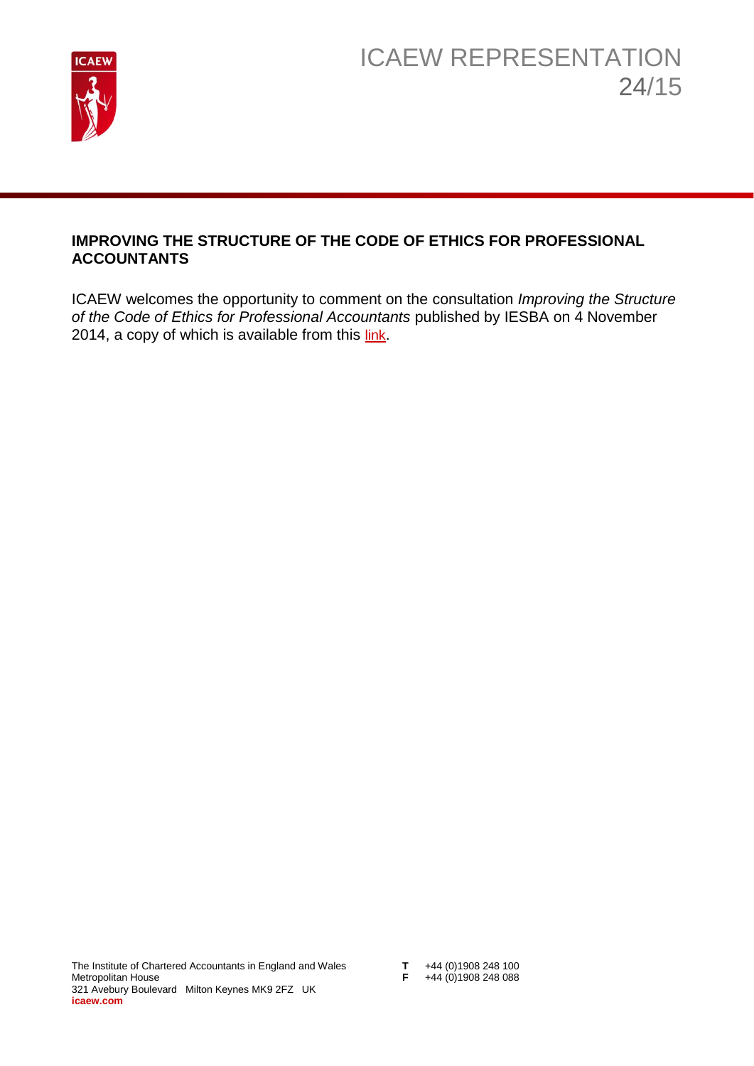

## **IMPROVING THE STRUCTURE OF THE CODE OF ETHICS FOR PROFESSIONAL ACCOUNTANTS**

ICAEW welcomes the opportunity to comment on the consultation *Improving the Structure of the Code of Ethics for Professional Accountants* published by IESBA on 4 November 2014, a copy of which is available from this [link](http://www.ifac.org/publications-resources/improving-structure-code-ethics-professional-accountants).

- **T**  $+44$  (0)1908 248 100<br>**F**  $+44$  (0)1908 248 088
-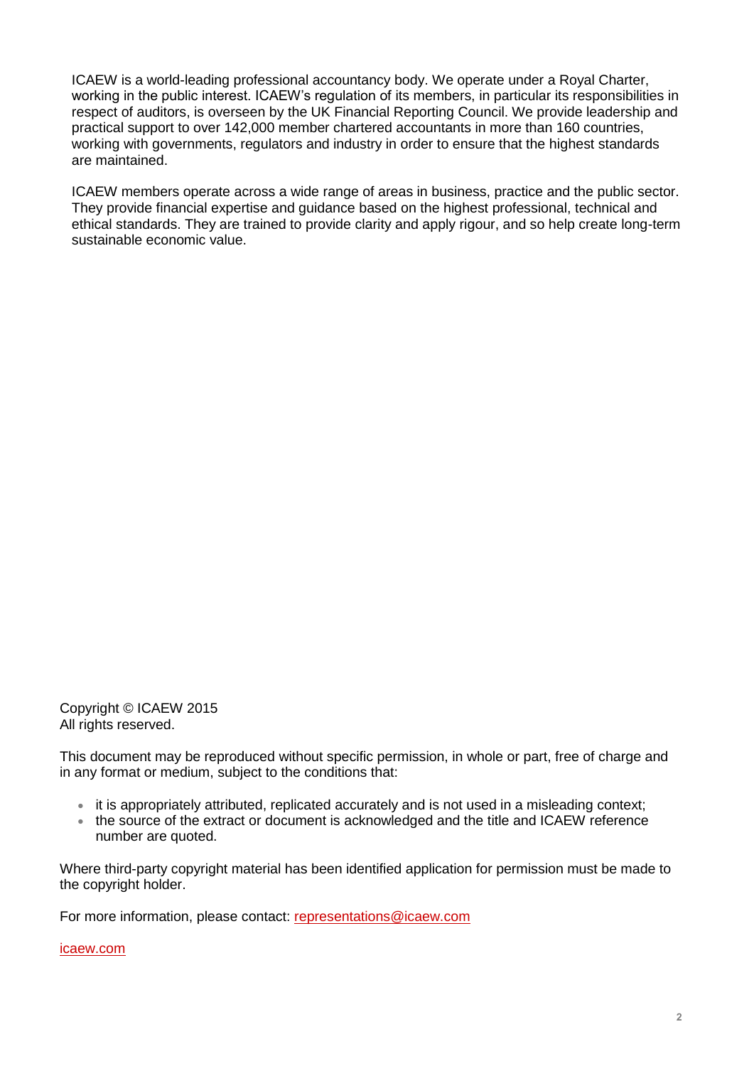ICAEW is a world-leading professional accountancy body. We operate under a Royal Charter, working in the public interest. ICAEW's regulation of its members, in particular its responsibilities in respect of auditors, is overseen by the UK Financial Reporting Council. We provide leadership and practical support to over 142,000 member chartered accountants in more than 160 countries, working with governments, regulators and industry in order to ensure that the highest standards are maintained.

ICAEW members operate across a wide range of areas in business, practice and the public sector. They provide financial expertise and guidance based on the highest professional, technical and ethical standards. They are trained to provide clarity and apply rigour, and so help create long-term sustainable economic value.

Copyright © ICAEW 2015 All rights reserved.

This document may be reproduced without specific permission, in whole or part, free of charge and in any format or medium, subject to the conditions that:

- it is appropriately attributed, replicated accurately and is not used in a misleading context;
- the source of the extract or document is acknowledged and the title and ICAEW reference number are quoted.

Where third-party copyright material has been identified application for permission must be made to the copyright holder.

For more information, please contact: [representations@icaew.com](mailto:representations@icaew.com)

[icaew.com](http://www.icaew.com/)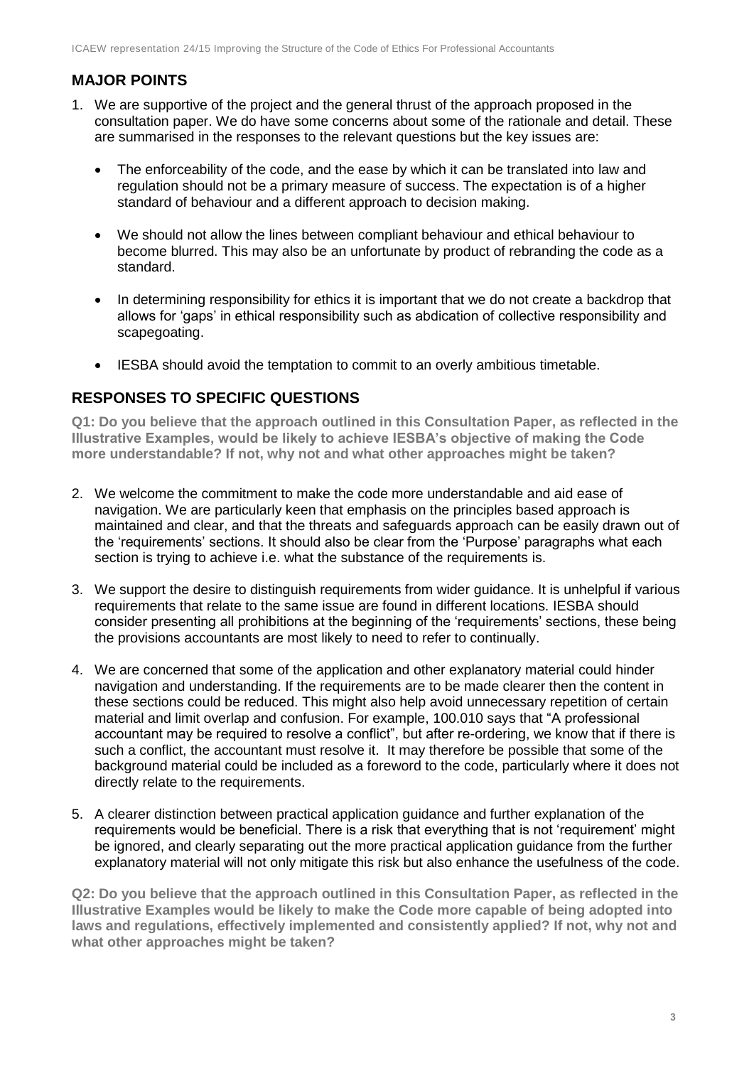## **MAJOR POINTS**

- 1. We are supportive of the project and the general thrust of the approach proposed in the consultation paper. We do have some concerns about some of the rationale and detail. These are summarised in the responses to the relevant questions but the key issues are:
	- The enforceability of the code, and the ease by which it can be translated into law and regulation should not be a primary measure of success. The expectation is of a higher standard of behaviour and a different approach to decision making.
	- We should not allow the lines between compliant behaviour and ethical behaviour to become blurred. This may also be an unfortunate by product of rebranding the code as a standard.
	- In determining responsibility for ethics it is important that we do not create a backdrop that allows for 'gaps' in ethical responsibility such as abdication of collective responsibility and scapegoating.
	- IESBA should avoid the temptation to commit to an overly ambitious timetable.

## **RESPONSES TO SPECIFIC QUESTIONS**

**Q1: Do you believe that the approach outlined in this Consultation Paper, as reflected in the Illustrative Examples, would be likely to achieve IESBA's objective of making the Code more understandable? If not, why not and what other approaches might be taken?**

- 2. We welcome the commitment to make the code more understandable and aid ease of navigation. We are particularly keen that emphasis on the principles based approach is maintained and clear, and that the threats and safeguards approach can be easily drawn out of the 'requirements' sections. It should also be clear from the 'Purpose' paragraphs what each section is trying to achieve i.e. what the substance of the requirements is.
- 3. We support the desire to distinguish requirements from wider guidance. It is unhelpful if various requirements that relate to the same issue are found in different locations. IESBA should consider presenting all prohibitions at the beginning of the 'requirements' sections, these being the provisions accountants are most likely to need to refer to continually.
- 4. We are concerned that some of the application and other explanatory material could hinder navigation and understanding. If the requirements are to be made clearer then the content in these sections could be reduced. This might also help avoid unnecessary repetition of certain material and limit overlap and confusion. For example, 100.010 says that "A professional accountant may be required to resolve a conflict", but after re-ordering, we know that if there is such a conflict, the accountant must resolve it. It may therefore be possible that some of the background material could be included as a foreword to the code, particularly where it does not directly relate to the requirements.
- 5. A clearer distinction between practical application guidance and further explanation of the requirements would be beneficial. There is a risk that everything that is not 'requirement' might be ignored, and clearly separating out the more practical application guidance from the further explanatory material will not only mitigate this risk but also enhance the usefulness of the code.

**Q2: Do you believe that the approach outlined in this Consultation Paper, as reflected in the Illustrative Examples would be likely to make the Code more capable of being adopted into laws and regulations, effectively implemented and consistently applied? If not, why not and what other approaches might be taken?**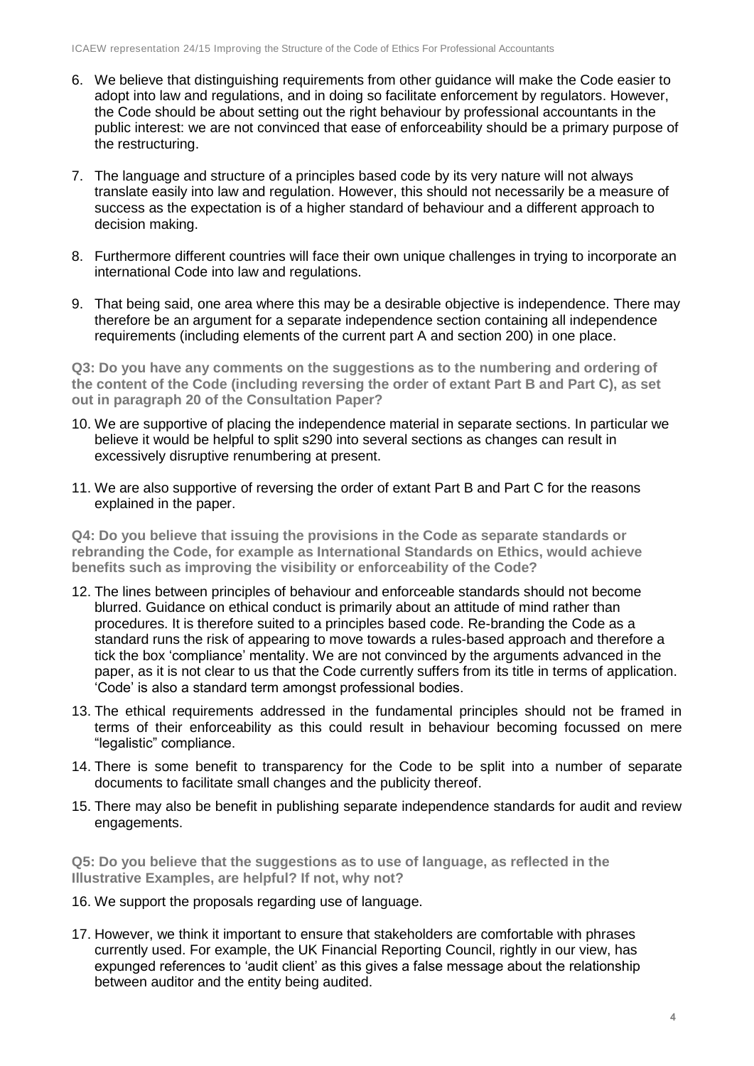- 6. We believe that distinguishing requirements from other guidance will make the Code easier to adopt into law and regulations, and in doing so facilitate enforcement by regulators. However, the Code should be about setting out the right behaviour by professional accountants in the public interest: we are not convinced that ease of enforceability should be a primary purpose of the restructuring.
- 7. The language and structure of a principles based code by its very nature will not always translate easily into law and regulation. However, this should not necessarily be a measure of success as the expectation is of a higher standard of behaviour and a different approach to decision making.
- 8. Furthermore different countries will face their own unique challenges in trying to incorporate an international Code into law and regulations.
- 9. That being said, one area where this may be a desirable objective is independence. There may therefore be an argument for a separate independence section containing all independence requirements (including elements of the current part A and section 200) in one place.

**Q3: Do you have any comments on the suggestions as to the numbering and ordering of the content of the Code (including reversing the order of extant Part B and Part C), as set out in paragraph 20 of the Consultation Paper?** 

- 10. We are supportive of placing the independence material in separate sections. In particular we believe it would be helpful to split s290 into several sections as changes can result in excessively disruptive renumbering at present.
- 11. We are also supportive of reversing the order of extant Part B and Part C for the reasons explained in the paper.

**Q4: Do you believe that issuing the provisions in the Code as separate standards or rebranding the Code, for example as International Standards on Ethics, would achieve benefits such as improving the visibility or enforceability of the Code?**

- 12. The lines between principles of behaviour and enforceable standards should not become blurred. Guidance on ethical conduct is primarily about an attitude of mind rather than procedures. It is therefore suited to a principles based code. Re-branding the Code as a standard runs the risk of appearing to move towards a rules-based approach and therefore a tick the box 'compliance' mentality. We are not convinced by the arguments advanced in the paper, as it is not clear to us that the Code currently suffers from its title in terms of application. 'Code' is also a standard term amongst professional bodies.
- 13. The ethical requirements addressed in the fundamental principles should not be framed in terms of their enforceability as this could result in behaviour becoming focussed on mere "legalistic" compliance.
- 14. There is some benefit to transparency for the Code to be split into a number of separate documents to facilitate small changes and the publicity thereof.
- 15. There may also be benefit in publishing separate independence standards for audit and review engagements.

**Q5: Do you believe that the suggestions as to use of language, as reflected in the Illustrative Examples, are helpful? If not, why not?** 

- 16. We support the proposals regarding use of language.
- 17. However, we think it important to ensure that stakeholders are comfortable with phrases currently used. For example, the UK Financial Reporting Council, rightly in our view, has expunged references to 'audit client' as this gives a false message about the relationship between auditor and the entity being audited.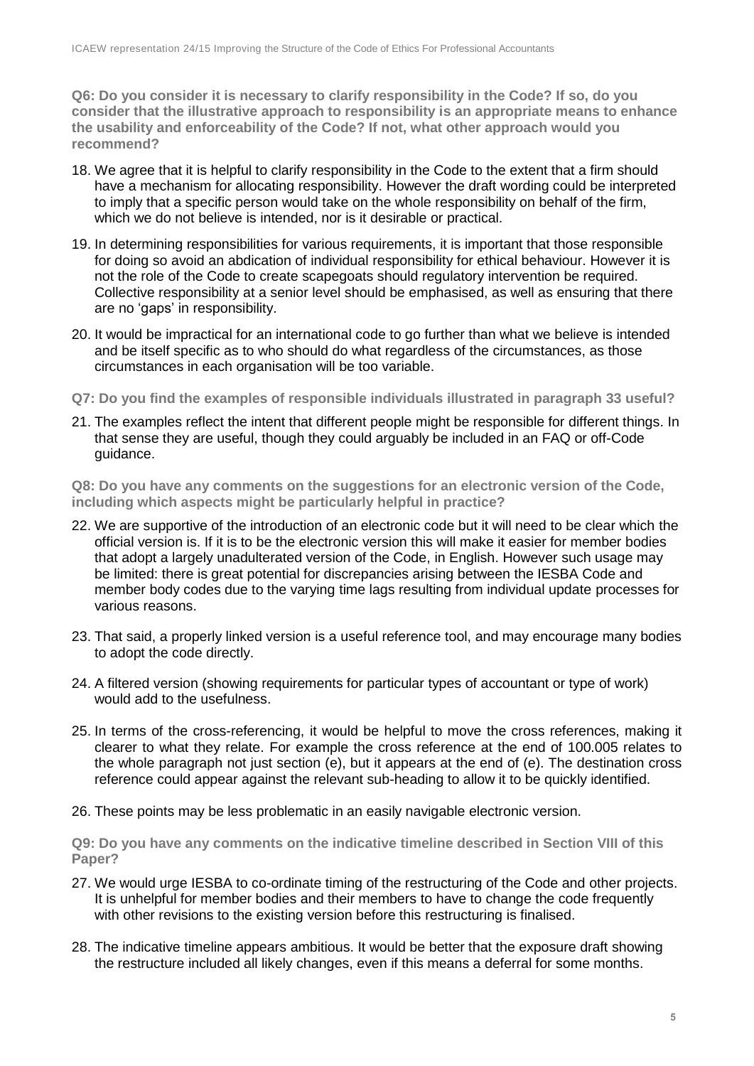**Q6: Do you consider it is necessary to clarify responsibility in the Code? If so, do you consider that the illustrative approach to responsibility is an appropriate means to enhance the usability and enforceability of the Code? If not, what other approach would you recommend?** 

- 18. We agree that it is helpful to clarify responsibility in the Code to the extent that a firm should have a mechanism for allocating responsibility. However the draft wording could be interpreted to imply that a specific person would take on the whole responsibility on behalf of the firm, which we do not believe is intended, nor is it desirable or practical.
- 19. In determining responsibilities for various requirements, it is important that those responsible for doing so avoid an abdication of individual responsibility for ethical behaviour. However it is not the role of the Code to create scapegoats should regulatory intervention be required. Collective responsibility at a senior level should be emphasised, as well as ensuring that there are no 'gaps' in responsibility.
- 20. It would be impractical for an international code to go further than what we believe is intended and be itself specific as to who should do what regardless of the circumstances, as those circumstances in each organisation will be too variable.
- **Q7: Do you find the examples of responsible individuals illustrated in paragraph 33 useful?**
- 21. The examples reflect the intent that different people might be responsible for different things. In that sense they are useful, though they could arguably be included in an FAQ or off-Code guidance.

**Q8: Do you have any comments on the suggestions for an electronic version of the Code, including which aspects might be particularly helpful in practice?** 

- 22. We are supportive of the introduction of an electronic code but it will need to be clear which the official version is. If it is to be the electronic version this will make it easier for member bodies that adopt a largely unadulterated version of the Code, in English. However such usage may be limited: there is great potential for discrepancies arising between the IESBA Code and member body codes due to the varying time lags resulting from individual update processes for various reasons.
- 23. That said, a properly linked version is a useful reference tool, and may encourage many bodies to adopt the code directly.
- 24. A filtered version (showing requirements for particular types of accountant or type of work) would add to the usefulness.
- 25. In terms of the cross-referencing, it would be helpful to move the cross references, making it clearer to what they relate. For example the cross reference at the end of 100.005 relates to the whole paragraph not just section (e), but it appears at the end of (e). The destination cross reference could appear against the relevant sub-heading to allow it to be quickly identified.
- 26. These points may be less problematic in an easily navigable electronic version.

**Q9: Do you have any comments on the indicative timeline described in Section VIII of this Paper?** 

- 27. We would urge IESBA to co-ordinate timing of the restructuring of the Code and other projects. It is unhelpful for member bodies and their members to have to change the code frequently with other revisions to the existing version before this restructuring is finalised.
- 28. The indicative timeline appears ambitious. It would be better that the exposure draft showing the restructure included all likely changes, even if this means a deferral for some months.